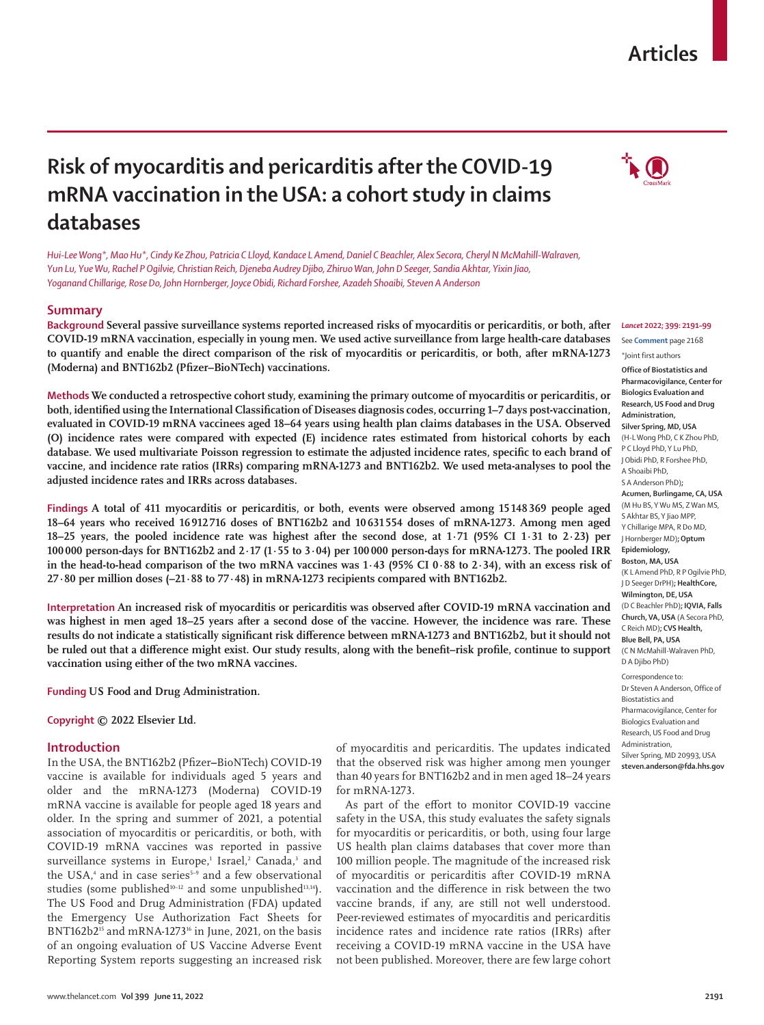## **Articles**

# **Risk of myocarditis and pericarditis after the COVID-19 mRNA vaccination in the USA: a cohort study in claims databases**

*Hui-Lee Wong\*, Mao Hu\*, Cindy Ke Zhou, Patricia C Lloyd, Kandace L Amend, Daniel C Beachler, Alex Secora, Cheryl N McMahill-Walraven, Yun Lu, Yue Wu, Rachel P Ogilvie, Christian Reich, Djeneba Audrey Djibo, Zhiruo Wan, John D Seeger, Sandia Akhtar, Yixin Jiao, Yoganand Chillarige, Rose Do, John Hornberger, Joyce Obidi, Richard Forshee, Azadeh Shoaibi, Steven A Anderson*

## **Summary**

**Background Several passive surveillance systems reported increased risks of myocarditis or pericarditis, or both, after COVID-19 mRNA vaccination, especially in young men. We used active surveillance from large health-care databases to quantify and enable the direct comparison of the risk of myocarditis or pericarditis, or both, after mRNA-1273 (Moderna) and BNT162b2 (Pfizer–BioNTech) vaccinations.**

**Methods We conducted a retrospective cohort study, examining the primary outcome of myocarditis or pericarditis, or both, identified using the International Classification of Diseases diagnosis codes, occurring 1–7 days post-vaccination, evaluated in COVID-19 mRNA vaccinees aged 18–64 years using health plan claims databases in the USA. Observed (O) incidence rates were compared with expected (E) incidence rates estimated from historical cohorts by each database. We used multivariate Poisson regression to estimate the adjusted incidence rates, specific to each brand of vaccine, and incidence rate ratios (IRRs) comparing mRNA-1273 and BNT162b2. We used meta-analyses to pool the adjusted incidence rates and IRRs across databases.**

**Findings A total of 411 myocarditis or pericarditis, or both, events were observed among 15148369 people aged 18–64 years who received 16912 716 doses of BNT162b2 and 10631 554 doses of mRNA-1273. Among men aged 18–25 years, the pooled incidence rate was highest after the second dose, at 1·71 (95% CI 1·31 to 2·23) per 100000 person-days for BNT162b2 and 2·17 (1·55 to 3·04) per 100000 person-days for mRNA-1273. The pooled IRR in the head-to-head comparison of the two mRNA vaccines was 1·43 (95% CI 0·88 to 2·34), with an excess risk of 27·80 per million doses (–21·88 to 77·48) in mRNA-1273 recipients compared with BNT162b2.**

**Interpretation An increased risk of myocarditis or pericarditis was observed after COVID-19 mRNA vaccination and was highest in men aged 18–25 years after a second dose of the vaccine. However, the incidence was rare. These results do not indicate a statistically significant risk difference between mRNA-1273 and BNT162b2, but it should not be ruled out that a difference might exist. Our study results, along with the benefit–risk profile, continue to support vaccination using either of the two mRNA vaccines.**

**Funding US Food and Drug Administration.**

**Copyright © 2022 Elsevier Ltd.** 

## **Introduction**

In the USA, the BNT162b2 (Pfizer**–**BioNTech) COVID-19 vaccine is available for individuals aged 5 years and older and the mRNA-1273 (Moderna) COVID-19 mRNA vaccine is available for people aged 18 years and older. In the spring and summer of 2021, a potential association of myocarditis or pericarditis, or both, with COVID-19 mRNA vaccines was reported in passive surveillance systems in Europe,<sup>1</sup> Israel,<sup>2</sup> Canada,<sup>3</sup> and the USA,<sup>4</sup> and in case series<sup>5-9</sup> and a few observational studies (some published<sup>10-12</sup> and some unpublished<sup>13,14</sup>). The US Food and Drug Administration (FDA) updated the Emergency Use Authorization Fact Sheets for BNT162b2<sup>15</sup> and mRNA-1273<sup>16</sup> in June, 2021, on the basis of an ongoing evaluation of US Vaccine Adverse Event Reporting System reports suggesting an increased risk

of myocarditis and pericarditis. The updates indicated that the observed risk was higher among men younger than 40 years for BNT162b2 and in men aged 18–24 years for mRNA-1273.

As part of the effort to monitor COVID-19 vaccine safety in the USA, this study evaluates the safety signals for myocarditis or pericarditis, or both, using four large US health plan claims databases that cover more than 100 million people. The magnitude of the increased risk of myocarditis or pericarditis after COVID-19 mRNA vaccination and the difference in risk between the two vaccine brands, if any, are still not well understood. Peer-reviewed estimates of myocarditis and pericarditis incidence rates and incidence rate ratios (IRRs) after receiving a COVID-19 mRNA vaccine in the USA have not been published. Moreover, there are few large cohort



## *Lancet* **2022; 399: 2191–99** See **Comment** page 2168

\*Joint first authors

**Office of Biostatistics and Pharmacovigilance, Center for Biologics Evaluation and Research, US Food and Drug Administration, Silver Spring, MD, USA** (H-L Wong PhD, C K Zhou PhD, P C Lloyd PhD, Y Lu PhD, J Obidi PhD, R Forshee PhD, A Shoaibi PhD, S A Anderson PhD)**; Acumen, Burlingame, CA, USA** (M Hu BS, Y Wu MS, Z Wan MS, S Akhtar BS, Y Jiao MPP, Y Chillarige MPA, R Do MD, J Hornberger MD)**; Optum Epidemiology, Boston, MA, USA** (K L Amend PhD, R P Ogilvie PhD, J D Seeger DrPH)**; HealthCore, Wilmington, DE, USA** (D C Beachler PhD)**; IQVIA, Falls Church, VA, USA** (A Secora PhD, C Reich MD)**; CVS Health, Blue Bell, PA, USA** (C N McMahill-Walraven PhD, D A Djibo PhD) Correspondence to:

Dr Steven A Anderson, Office of Biostatistics and Pharmacovigilance, Center for Biologics Evaluation and Research, US Food and Drug Administration, Silver Spring, MD 20993, USA **steven.anderson@fda.hhs.gov**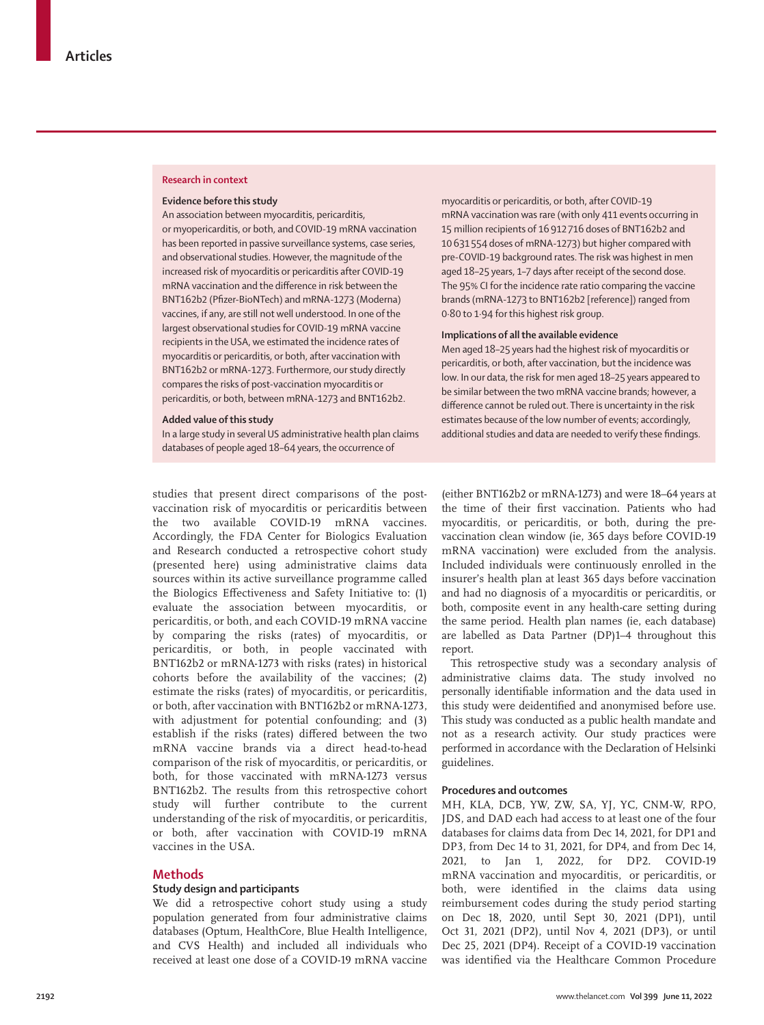#### **Research in context**

#### **Evidence before this study**

An association between myocarditis, pericarditis, or myopericarditis, or both, and COVID-19 mRNA vaccination has been reported in passive surveillance systems, case series, and observational studies. However, the magnitude of the increased risk of myocarditis or pericarditis after COVID-19 mRNA vaccination and the difference in risk between the BNT162b2 (Pfizer-BioNTech) and mRNA-1273 (Moderna) vaccines, if any, are still not well understood. In one of the largest observational studies for COVID-19 mRNA vaccine recipients in the USA, we estimated the incidence rates of myocarditis or pericarditis, or both, after vaccination with BNT162b2 or mRNA-1273. Furthermore, our study directly compares the risks of post-vaccination myocarditis or pericarditis, or both, between mRNA-1273 and BNT162b2.

#### **Added value of this study**

In a large study in several US administrative health plan claims databases of people aged 18–64 years, the occurrence of

studies that present direct comparisons of the postvaccination risk of myocarditis or pericarditis between the two available COVID-19 mRNA vaccines. Accordingly, the FDA Center for Biologics Evaluation and Research conducted a retrospective cohort study (presented here) using administrative claims data sources within its active surveillance programme called the Biologics Effectiveness and Safety Initiative to: (1) evaluate the association between myocarditis, or pericarditis, or both, and each COVID-19 mRNA vaccine by comparing the risks (rates) of myocarditis, or pericarditis, or both, in people vaccinated with BNT162b2 or mRNA-1273 with risks (rates) in historical cohorts before the availability of the vaccines; (2) estimate the risks (rates) of myocarditis, or pericarditis, or both, after vaccination with BNT162b2 or mRNA-1273, with adjustment for potential confounding; and (3) establish if the risks (rates) differed between the two mRNA vaccine brands via a direct head-to-head comparison of the risk of myocarditis, or pericarditis, or both, for those vaccinated with mRNA-1273 versus BNT162b2. The results from this retrospective cohort study will further contribute to the current understanding of the risk of myocarditis, or pericarditis, or both, after vaccination with COVID-19 mRNA vaccines in the USA.

#### **Methods**

#### **Study design and participants**

We did a retrospective cohort study using a study population generated from four administrative claims databases (Optum, HealthCore, Blue Health Intelligence, and CVS Health) and included all individuals who received at least one dose of a COVID-19 mRNA vaccine

myocarditis or pericarditis, or both, after COVID-19 mRNA vaccination was rare (with only 411 events occurring in 15 million recipients of 16912 716 doses of BNT162b2 and 10631 554 doses of mRNA-1273) but higher compared with pre-COVID-19 background rates. The risk was highest in men aged 18–25 years, 1–7 days after receipt of the second dose. The 95% CI for the incidence rate ratio comparing the vaccine brands (mRNA-1273 to BNT162b2 [reference]) ranged from 0·80 to 1·94 for this highest risk group.

#### **Implications of all the available evidence**

Men aged 18–25 years had the highest risk of myocarditis or pericarditis, or both, after vaccination, but the incidence was low. In our data, the risk for men aged 18–25 years appeared to be similar between the two mRNA vaccine brands; however, a difference cannot be ruled out. There is uncertainty in the risk estimates because of the low number of events; accordingly, additional studies and data are needed to verify these findings.

(either BNT162b2 or mRNA-1273) and were 18–64 years at the time of their first vaccination. Patients who had myocarditis, or pericarditis, or both, during the prevaccination clean window (ie, 365 days before COVID-19 mRNA vaccination) were excluded from the analysis. Included individuals were continuously enrolled in the insurer's health plan at least 365 days before vaccination and had no diagnosis of a myocarditis or pericarditis, or both, composite event in any health-care setting during the same period. Health plan names (ie, each database) are labelled as Data Partner (DP)1–4 throughout this report.

This retrospective study was a secondary analysis of administrative claims data. The study involved no personally identifiable information and the data used in this study were deidentified and anonymised before use. This study was conducted as a public health mandate and not as a research activity. Our study practices were performed in accordance with the Declaration of Helsinki guidelines.

## **Procedures and outcomes**

MH, KLA, DCB, YW, ZW, SA, YJ, YC, CNM-W, RPO, JDS, and DAD each had access to at least one of the four databases for claims data from Dec 14, 2021, for DP1 and DP3, from Dec 14 to 31, 2021, for DP4, and from Dec 14, 2021, to Jan 1, 2022, for DP2. COVID-19 mRNA vaccination and myocarditis, or pericarditis, or both, were identified in the claims data using reimbursement codes during the study period starting on Dec 18, 2020, until Sept 30, 2021 (DP1), until Oct 31, 2021 (DP2), until Nov 4, 2021 (DP3), or until Dec 25, 2021 (DP4). Receipt of a COVID-19 vaccination was identified via the Healthcare Common Procedure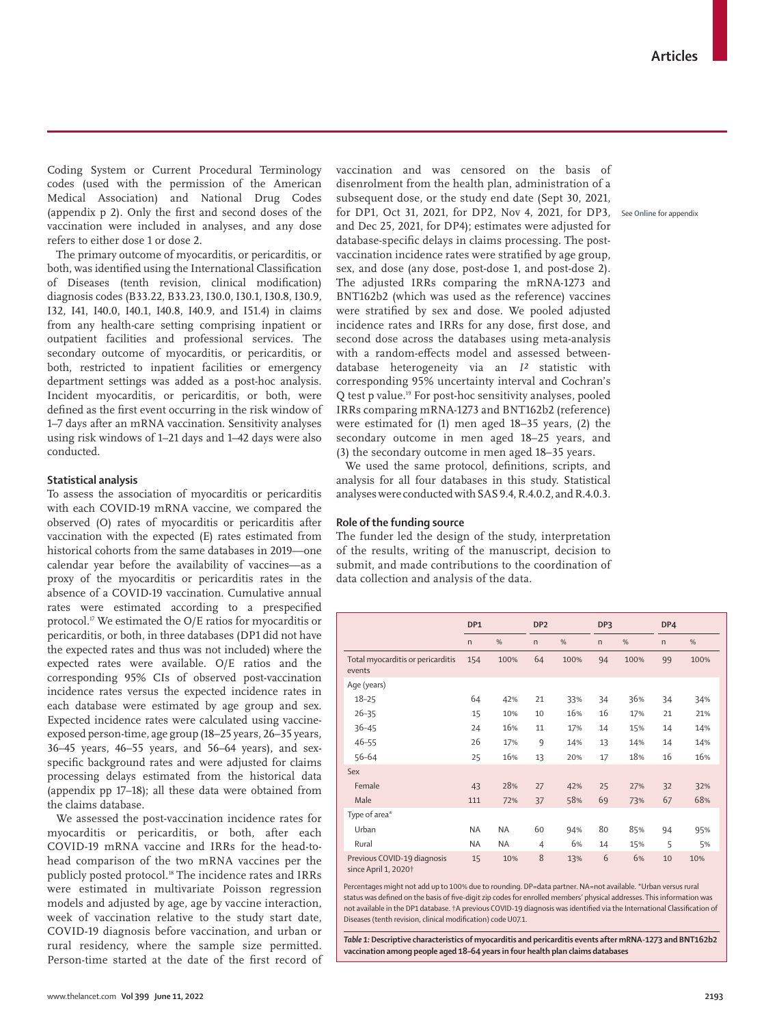Coding System or Current Procedural Terminology codes (used with the permission of the American Medical Association) and National Drug Codes (appendix p 2). Only the first and second doses of the vaccination were included in analyses, and any dose refers to either dose 1 or dose 2.

The primary outcome of myocarditis, or pericarditis, or both, was identified using the International Classification of Diseases (tenth revision, clinical modification) diagnosis codes (B33.22, B33.23, I30.0, I30.1, I30.8, I30.9, I32, I41, I40.0, I40.1, I40.8, I40.9, and I51.4) in claims from any health-care setting comprising inpatient or outpatient facilities and professional services. The secondary outcome of myocarditis, or pericarditis, or both, restricted to inpatient facilities or emergency department settings was added as a post-hoc analysis. Incident myocarditis, or pericarditis, or both, were defined as the first event occurring in the risk window of 1–7 days after an mRNA vaccination. Sensitivity analyses using risk windows of 1–21 days and 1–42 days were also conducted.

#### **Statistical analysis**

To assess the association of myocarditis or pericarditis with each COVID-19 mRNA vaccine, we compared the observed (O) rates of myocarditis or pericarditis after vaccination with the expected (E) rates estimated from historical cohorts from the same databases in 2019—one calendar year before the availability of vaccines—as a proxy of the myocarditis or pericarditis rates in the absence of a COVID-19 vaccination. Cumulative annual rates were estimated according to a prespecified protocol.17 We estimated the O/E ratios for myocarditis or pericarditis, or both, in three databases (DP1 did not have the expected rates and thus was not included) where the expected rates were available. O/E ratios and the corresponding 95% CIs of observed post-vaccination incidence rates versus the expected incidence rates in each database were estimated by age group and sex. Expected incidence rates were calculated using vaccineexposed person-time, age group (18–25 years, 26–35 years, 36–45 years, 46–55 years, and 56–64 years), and sexspecific background rates and were adjusted for claims processing delays estimated from the historical data (appendix pp 17–18); all these data were obtained from the claims database.

We assessed the post-vaccination incidence rates for myocarditis or pericarditis, or both, after each COVID-19 mRNA vaccine and IRRs for the head-tohead comparison of the two mRNA vaccines per the publicly posted protocol.<sup>18</sup> The incidence rates and IRRs were estimated in multivariate Poisson regression models and adjusted by age, age by vaccine interaction, week of vaccination relative to the study start date, COVID-19 diagnosis before vaccination, and urban or rural residency, where the sample size permitted. Person-time started at the date of the first record of

vaccination and was censored on the basis of disenrolment from the health plan, administration of a subsequent dose, or the study end date (Sept 30, 2021, for DP1, Oct 31, 2021, for DP2, Nov 4, 2021, for DP3, See **Online** for appendixand Dec 25, 2021, for DP4); estimates were adjusted for database-specific delays in claims processing. The postvaccination incidence rates were stratified by age group, sex, and dose (any dose, post-dose 1, and post-dose 2). The adjusted IRRs comparing the mRNA-1273 and BNT162b2 (which was used as the reference) vaccines were stratified by sex and dose. We pooled adjusted incidence rates and IRRs for any dose, first dose, and second dose across the databases using meta-analysis with a random-effects model and assessed betweendatabase heterogeneity via an *I²* statistic with corresponding 95% uncertainty interval and Cochran's Q test p value.19 For post-hoc sensitivity analyses, pooled IRRs comparing mRNA-1273 and BNT162b2 (reference) were estimated for (1) men aged 18–35 years, (2) the secondary outcome in men aged 18–25 years, and (3) the secondary outcome in men aged 18–35 years.

We used the same protocol, definitions, scripts, and analysis for all four databases in this study. Statistical analyses were conducted with SAS 9.4, R.4.0.2, and R.4.0.3.

#### **Role of the funding source**

The funder led the design of the study, interpretation of the results, writing of the manuscript, decision to submit, and made contributions to the coordination of data collection and analysis of the data.

|                                                                 | DP1          |           | DP <sub>2</sub> |      | DP <sub>3</sub> |      | DP4          |      |
|-----------------------------------------------------------------|--------------|-----------|-----------------|------|-----------------|------|--------------|------|
|                                                                 | $\mathsf{n}$ | %         | $\mathsf{n}$    | %    | $\mathsf{n}$    | %    | $\mathsf{n}$ | %    |
| Total myocarditis or pericarditis<br>events                     | 154          | 100%      | 64              | 100% | 94              | 100% | 99           | 100% |
| Age (years)                                                     |              |           |                 |      |                 |      |              |      |
| $18 - 25$                                                       | 64           | 42%       | 21              | 33%  | 34              | 36%  | 34           | 34%  |
| $26 - 35$                                                       | 15           | 10%       | 10              | 16%  | 16              | 17%  | 21           | 21%  |
| $36 - 45$                                                       | 24           | 16%       | 11              | 17%  | 14              | 15%  | 14           | 14%  |
| $46 - 55$                                                       | 26           | 17%       | 9               | 14%  | 13              | 14%  | 14           | 14%  |
| 56-64                                                           | 25           | 16%       | 13              | 20%  | 17              | 18%  | 16           | 16%  |
| Sex                                                             |              |           |                 |      |                 |      |              |      |
| Female                                                          | 43           | 28%       | 27              | 42%  | 25              | 27%  | 32           | 32%  |
| Male                                                            | 111          | 72%       | 37              | 58%  | 69              | 73%  | 67           | 68%  |
| Type of area*                                                   |              |           |                 |      |                 |      |              |      |
| Urban                                                           | ΝA           | <b>NA</b> | 60              | 94%  | 80              | 85%  | 94           | 95%  |
| Rural                                                           | ΝA           | NA        | 4               | 6%   | 14              | 15%  | 5            | 5%   |
| Previous COVID-19 diagnosis<br>since April 1, 2020 <sup>+</sup> | 15           | 10%       | 8               | 13%  | 6               | 6%   | 10           | 10%  |

Percentages might not add up to 100% due to rounding. DP=data partner. NA=not available. \*Urban versus rural status was defined on the basis of five-digit zip codes for enrolled members' physical addresses. This information was not available in the DP1 database. †A previous COVID-19 diagnosis was identified via the International Classification of Diseases (tenth revision, clinical modification) code U07.1.

*Table 1:* **Descriptive characteristics of myocarditis and pericarditis events after mRNA-1273 and BNT162b2 vaccination among people aged 18–64 years in four health plan claims databases**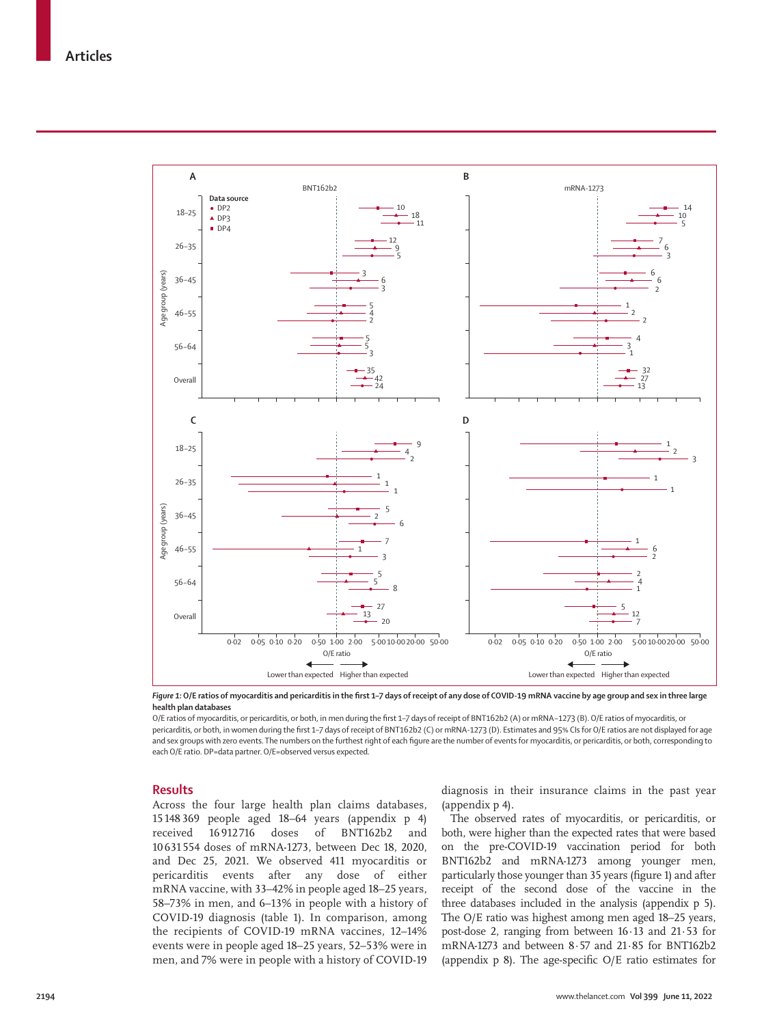

*Figure 1:* **O/E ratios of myocarditis and pericarditis in the first 1–7 days of receipt of any dose of COVID-19 mRNA vaccine by age group and sex in three large health plan databases**

O/E ratios of myocarditis, or pericarditis, or both, in men during the first 1–7 days of receipt of BNT162b2 (A) or mRNA−1273 (B). O/E ratios of myocarditis, or pericarditis, or both, in women during the first 1–7 days of receipt of BNT162b2 (C) or mRNA-1273 (D). Estimates and 95% CIs for O/E ratios are not displayed for age and sex groups with zero events. The numbers on the furthest right of each figure are the number of events for myocarditis, or pericarditis, or both, corresponding to each O/E ratio. DP=data partner. O/E=observed versus expected.

#### **Results**

Across the four large health plan claims databases, 15 148 369 people aged 18–64 years (appendix p 4) received 16 912 716 doses of BNT162b2 and 10 631 554 doses of mRNA-1273, between Dec 18, 2020, and Dec 25, 2021. We observed 411 myocarditis or pericarditis events after any dose of either mRNA vaccine, with 33–42% in people aged 18–25 years, 58–73% in men, and 6–13% in people with a history of COVID-19 diagnosis (table 1). In comparison, among the recipients of COVID-19 mRNA vaccines, 12–14% events were in people aged 18–25 years, 52–53% were in men, and 7% were in people with a history of COVID-19 diagnosis in their insurance claims in the past year (appendix p 4).

The observed rates of myocarditis, or pericarditis, or both, were higher than the expected rates that were based on the pre-COVID-19 vaccination period for both BNT162b2 and mRNA-1273 among younger men, particularly those younger than 35 years (figure 1) and after receipt of the second dose of the vaccine in the three databases included in the analysis (appendix p 5). The O/E ratio was highest among men aged 18–25 years, post-dose 2, ranging from between 16·13 and 21·53 for mRNA-1273 and between 8·57 and 21·85 for BNT162b2 (appendix p 8). The age-specific O/E ratio estimates for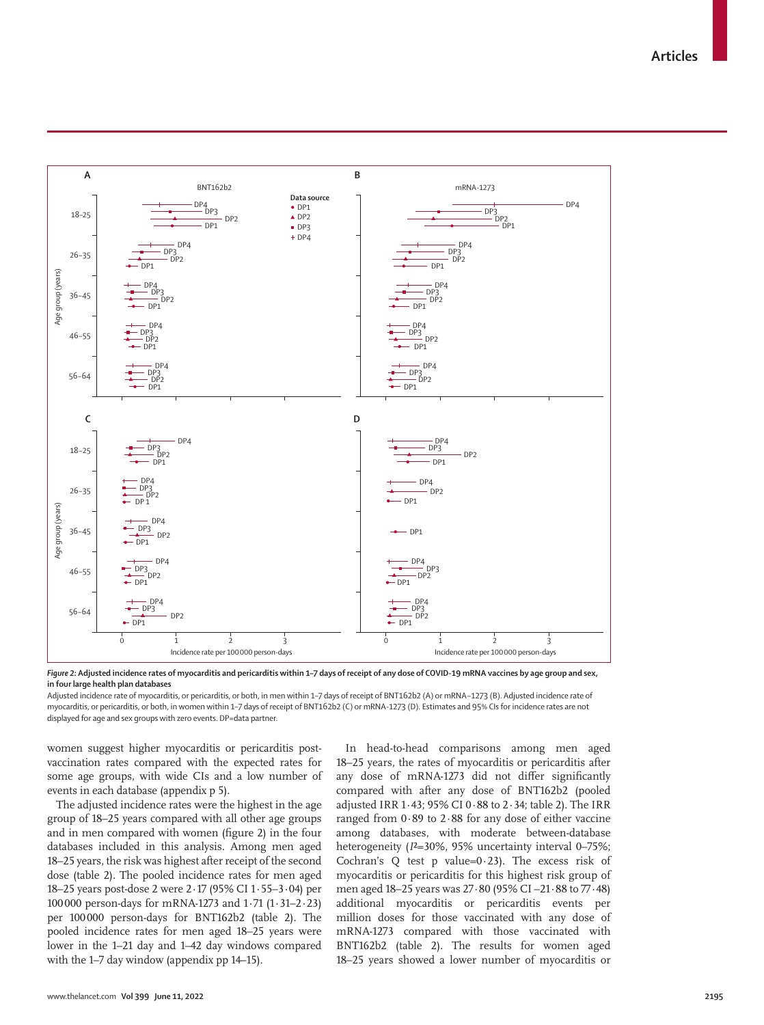

*Figure 2:* **Adjusted incidence rates of myocarditis and pericarditis within 1–7 days of receipt of any dose of COVID-19 mRNA vaccines by age group and sex, in four large health plan databases**

Adjusted incidence rate of myocarditis, or pericarditis, or both, in men within 1–7 days of receipt of BNT162b2 (A) or mRNA−1273 (B). Adjusted incidence rate of myocarditis, or pericarditis, or both, in women within 1–7 days of receipt of BNT162b2 (C) or mRNA-1273 (D). Estimates and 95% CIs for incidence rates are not displayed for age and sex groups with zero events. DP=data partner.

women suggest higher myocarditis or pericarditis postvaccination rates compared with the expected rates for some age groups, with wide CIs and a low number of events in each database (appendix p 5).

The adjusted incidence rates were the highest in the age group of 18–25 years compared with all other age groups and in men compared with women (figure 2) in the four databases included in this analysis. Among men aged 18–25 years, the risk was highest after receipt of the second dose (table 2). The pooled incidence rates for men aged 18–25 years post-dose 2 were 2·17 (95% CI 1·55–3·04) per 100000 person-days for mRNA-1273 and 1·71 (1·31–2·23) per 100000 person-days for BNT162b2 (table 2). The pooled incidence rates for men aged 18–25 years were lower in the 1–21 day and 1–42 day windows compared with the 1–7 day window (appendix pp 14–15).

In head-to-head comparisons among men aged 18–25 years, the rates of myocarditis or pericarditis after any dose of mRNA-1273 did not differ significantly compared with after any dose of BNT162b2 (pooled adjusted IRR 1·43; 95% CI 0·88 to 2·34; table 2). The IRR ranged from 0·89 to 2·88 for any dose of either vaccine among databases, with moderate between-database heterogeneity ( $I^2=30\%$ , 95% uncertainty interval 0–75%; Cochran's Q test p value=0·23). The excess risk of myocarditis or pericarditis for this highest risk group of men aged 18–25 years was 27·80 (95% CI –21·88 to 77·48) additional myocarditis or pericarditis events per million doses for those vaccinated with any dose of mRNA-1273 compared with those vaccinated with BNT162b2 (table 2). The results for women aged 18–25 years showed a lower number of myocarditis or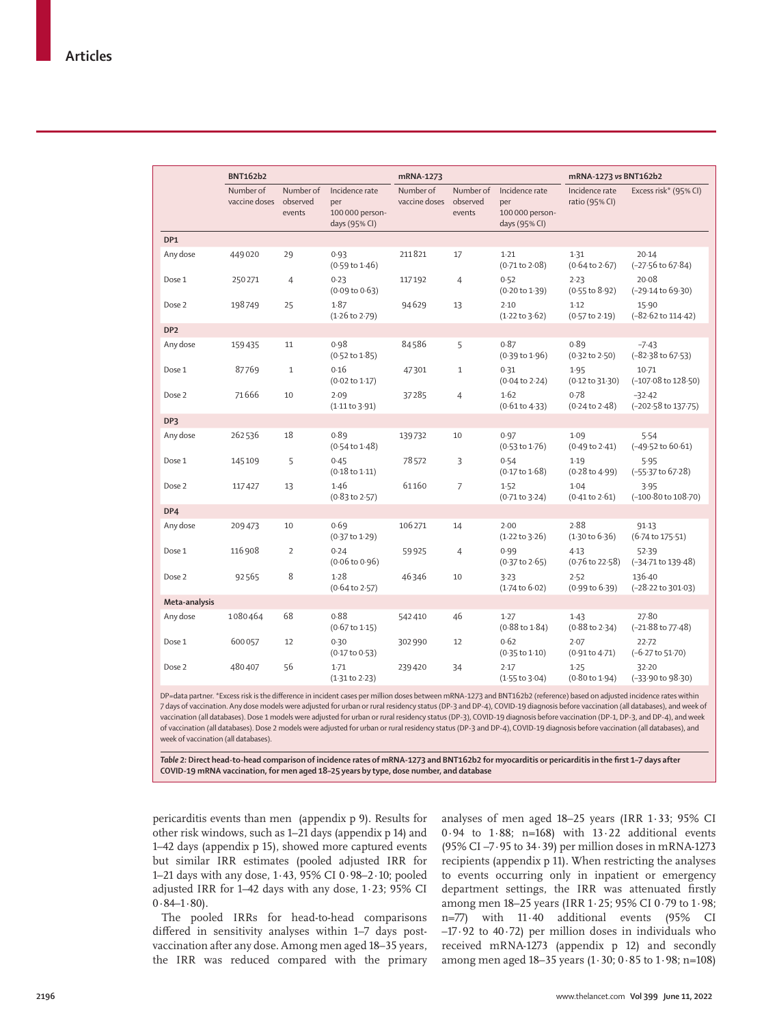|                 | <b>BNT162b2</b>            |                                 |                                                           | mRNA-1273                  |                                 |                                                           | mRNA-1273 vs BNT162b2               |                                         |  |
|-----------------|----------------------------|---------------------------------|-----------------------------------------------------------|----------------------------|---------------------------------|-----------------------------------------------------------|-------------------------------------|-----------------------------------------|--|
|                 | Number of<br>vaccine doses | Number of<br>observed<br>events | Incidence rate<br>per<br>100 000 person-<br>days (95% CI) | Number of<br>vaccine doses | Number of<br>observed<br>events | Incidence rate<br>per<br>100 000 person-<br>days (95% CI) | Incidence rate<br>ratio (95% CI)    | Excess risk* (95% CI)                   |  |
| DP1             |                            |                                 |                                                           |                            |                                 |                                                           |                                     |                                         |  |
| Any dose        | 449020                     | 29                              | 0.93<br>$(0.59 \text{ to } 1.46)$                         | 211821                     | $17\,$                          | 1.21<br>$(0.71 \text{ to } 2.08)$                         | 1.31<br>$(0.64 \text{ to } 2.67)$   | 20.14<br>$(-27.56 \text{ to } 67.84)$   |  |
| Dose 1          | 250271                     | $\overline{4}$                  | 0.23<br>$(0.09 \text{ to } 0.63)$                         | 117192                     | $\overline{4}$                  | 0.52<br>$(0.20 \text{ to } 1.39)$                         | 2.23<br>(0.55 to 8.92)              | 20.08<br>(-29.14 to 69.30)              |  |
| Dose 2          | 198749                     | 25                              | 1.87<br>$(1.26 \text{ to } 2.79)$                         | 94629                      | 13                              | 2.10<br>$(1.22 \text{ to } 3.62)$                         | $1-12$<br>$(0.57 \text{ to } 2.19)$ | 15.90<br>$(-82.62 \text{ to } 114.42)$  |  |
| DP <sub>2</sub> |                            |                                 |                                                           |                            |                                 |                                                           |                                     |                                         |  |
| Any dose        | 159435                     | 11                              | 0.98<br>$(0.52 \text{ to } 1.85)$                         | 84586                      | 5                               | 0.87<br>$(0.39 \text{ to } 1.96)$                         | 0.89<br>$(0.32 \text{ to } 2.50)$   | $-7.43$<br>$(-82.38$ to $67.53)$        |  |
| Dose 1          | 87769                      | $\mathbf{1}$                    | 0.16<br>$(0.02 \text{ to } 1.17)$                         | 47301                      | $\mathbf{1}$                    | 0.31<br>$(0.04 \text{ to } 2.24)$                         | 1.95<br>$(0.12 \text{ to } 31.30)$  | $10-71$<br>(-107.08 to 128.50)          |  |
| Dose 2          | 71666                      | 10                              | 2.09<br>(1.11 to 3.91)                                    | 37285                      | $\overline{4}$                  | 1.62<br>(0.61 to 4.33)                                    | 0.78<br>$(0.24$ to $2.48)$          | $-32.42$<br>(-202.58 to 137.75)         |  |
| DP3             |                            |                                 |                                                           |                            |                                 |                                                           |                                     |                                         |  |
| Any dose        | 262536                     | 18                              | 0.89<br>$(0.54 \text{ to } 1.48)$                         | 139732                     | 10                              | 0.97<br>$(0.53 \text{ to } 1.76)$                         | 1.09<br>$(0.49 \text{ to } 2.41)$   | 5.54<br>$(-49.52 \text{ to } 60.61)$    |  |
| Dose 1          | 145109                     | 5                               | 0.45<br>$(0.18 \text{ to } 1.11)$                         | 78572                      | 3                               | 0.54<br>$(0.17 \text{ to } 1.68)$                         | 1.19<br>$(0.28 \text{ to } 4.99)$   | 5.95<br>(-55.37 to 67.28)               |  |
| Dose 2          | 117427                     | 13                              | 1.46<br>$(0.83 \text{ to } 2.57)$                         | 61160                      | $\overline{7}$                  | 1.52<br>$(0.71 \text{ to } 3.24)$                         | 1.04<br>$(0.41 \text{ to } 2.61)$   | 3.95<br>(-100.80 to 108.70)             |  |
| DP4             |                            |                                 |                                                           |                            |                                 |                                                           |                                     |                                         |  |
| Any dose        | 209473                     | 10                              | 0.69<br>(0.37 to 1.29)                                    | 106271                     | 14                              | 2.00<br>$(1.22 \text{ to } 3.26)$                         | 2.88<br>$(1.30 \text{ to } 6.36)$   | 91.13<br>(6.74 to 175.51)               |  |
| Dose 1          | 116 908                    | $\overline{2}$                  | 0.24<br>$(0.06 \text{ to } 0.96)$                         | 59925                      | $\overline{4}$                  | 0.99<br>$(0.37$ to 2.65)                                  | 4.13<br>$(0.76 \text{ to } 22.58)$  | 52.39<br>$(-34.71 \text{ to } 139.48)$  |  |
| Dose 2          | 92565                      | 8                               | 1.28<br>$(0.64 \text{ to } 2.57)$                         | 46346                      | 10                              | 3.23<br>$(1.74 \text{ to } 6.02)$                         | 2.52<br>$(0.99$ to $6.39)$          | 136.40<br>$(-28.22 \text{ to } 301.03)$ |  |
| Meta-analysis   |                            |                                 |                                                           |                            |                                 |                                                           |                                     |                                         |  |
| Any dose        | 1080464                    | 68                              | 0.88<br>$(0.67 \text{ to } 1.15)$                         | 542410                     | 46                              | 1.27<br>(0.88 to 1.84)                                    | 1.43<br>(0.88 to 2.34)              | 27.80<br>$(-21.88$ to 77 $\cdot$ 48)    |  |
| Dose 1          | 600057                     | 12                              | 0.30<br>(0.17 to 0.53)                                    | 302990                     | 12                              | 0.62<br>$(0.35 \text{ to } 1.10)$                         | 2.07<br>(0.91 to 4.71)              | 22.72<br>$(-6.27 \text{ to } 51.70)$    |  |
| Dose 2          | 480407                     | 56                              | 1.71<br>$(1.31$ to 2.23)                                  | 239420                     | 34                              | 2.17<br>$(1.55$ to $3.04)$                                | 1.25<br>$(0.80 \text{ to } 1.94)$   | 32.20<br>$(-33.90 \text{ to } 98.30)$   |  |

DP=data partner. \*Excess risk is the difference in incident cases per million doses between mRNA-1273 and BNT162b2 (reference) based on adjusted incidence rates within 7 days of vaccination. Any dose models were adjusted for urban or rural residency status (DP-3 and DP-4), COVID-19 diagnosis before vaccination (all databases), and week of vaccination (all databases). Dose 1 models were adjusted for urban or rural residency status (DP-3), COVID-19 diagnosis before vaccination (DP-1, DP-3, and DP-4), and week of vaccination (all databases). Dose 2 models were adjusted for urban or rural residency status (DP-3 and DP-4), COVID-19 diagnosis before vaccination (all databases), and week of vaccination (all databases).

*Table 2:* **Direct head-to-head comparison of incidence rates of mRNA-1273 and BNT162b2 for myocarditis or pericarditis in the first 1–7 days after COVID-19 mRNA vaccination, for men aged 18–25 years by type, dose number, and database**

pericarditis events than men (appendix p 9). Results for other risk windows, such as 1–21 days (appendix p 14) and 1–42 days (appendix p 15), showed more captured events but similar IRR estimates (pooled adjusted IRR for 1–21 days with any dose, 1·43, 95% CI 0·98–2·10; pooled adjusted IRR for 1–42 days with any dose, 1·23; 95% CI  $0.84 - 1.80$ ).

The pooled IRRs for head-to-head comparisons differed in sensitivity analyses within 1–7 days postvaccination after any dose. Among men aged 18–35 years, the IRR was reduced compared with the primary analyses of men aged 18–25 years (IRR 1·33; 95% CI 0·94 to 1·88; n=168) with 13·22 additional events (95% CI –7·95 to 34·39) per million doses in mRNA-1273 recipients (appendix p 11). When restricting the analyses to events occurring only in inpatient or emergency department settings, the IRR was attenuated firstly among men 18–25 years (IRR 1·25; 95% CI 0·79 to 1·98; n=77) with 11·40 additional events (95% CI –17·92 to 40·72) per million doses in individuals who received mRNA-1273 (appendix p 12) and secondly among men aged 18–35 years (1·30; 0·85 to 1·98; n=108)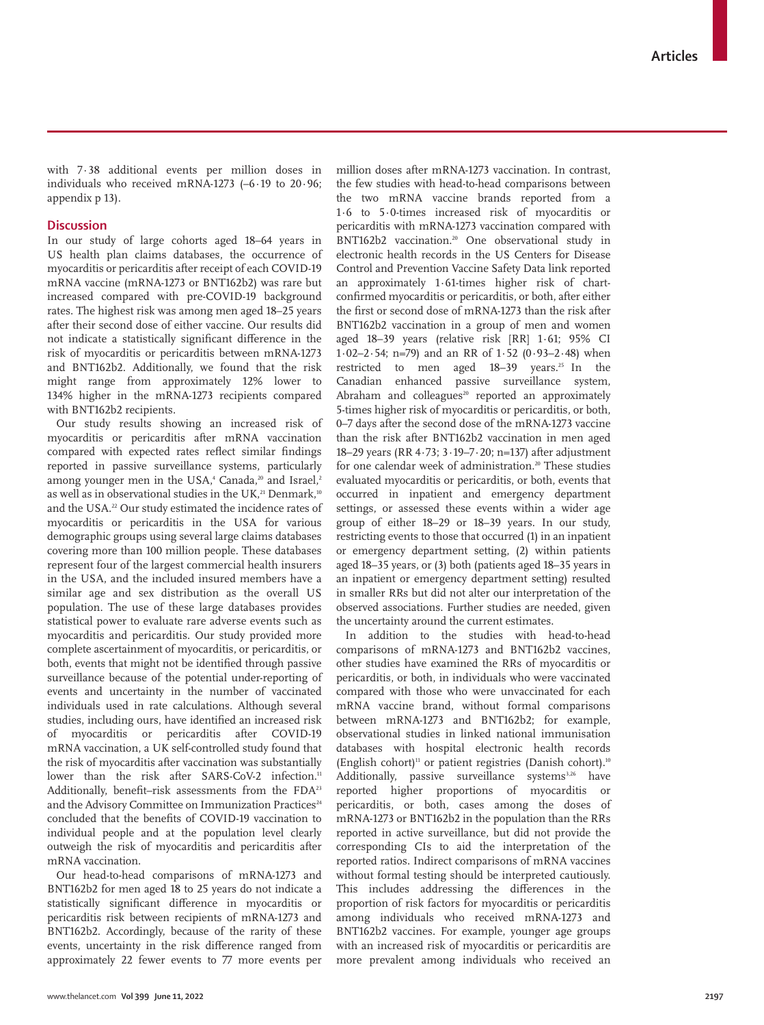with 7·38 additional events per million doses in individuals who received mRNA-1273 (–6·19 to 20·96; appendix p 13).

## **Discussion**

In our study of large cohorts aged 18–64 years in US health plan claims databases, the occurrence of myocarditis or pericarditis after receipt of each COVID-19 mRNA vaccine (mRNA-1273 or BNT162b2) was rare but increased compared with pre-COVID-19 background rates. The highest risk was among men aged 18–25 years after their second dose of either vaccine. Our results did not indicate a statistically significant difference in the risk of myocarditis or pericarditis between mRNA-1273 and BNT162b2. Additionally, we found that the risk might range from approximately 12% lower to 134% higher in the mRNA-1273 recipients compared with BNT162b2 recipients.

Our study results showing an increased risk of myocarditis or pericarditis after mRNA vaccination compared with expected rates reflect similar findings reported in passive surveillance systems, particularly among younger men in the USA, $^{\scriptscriptstyle 4}$  Canada, $^{\scriptscriptstyle 20}$  and Israel, $^{\scriptscriptstyle 2}$ as well as in observational studies in the UK.<sup>21</sup> Denmark,<sup>10</sup> and the USA.<sup>22</sup> Our study estimated the incidence rates of myocarditis or pericarditis in the USA for various demographic groups using several large claims databases covering more than 100 million people. These databases represent four of the largest commercial health insurers in the USA, and the included insured members have a similar age and sex distribution as the overall US population. The use of these large databases provides statistical power to evaluate rare adverse events such as myocarditis and pericarditis. Our study provided more complete ascertainment of myocarditis, or pericarditis, or both, events that might not be identified through passive surveillance because of the potential under-reporting of events and uncertainty in the number of vaccinated individuals used in rate calculations. Although several studies, including ours, have identified an increased risk of myocarditis or pericarditis after COVID-19 mRNA vaccination, a UK self-controlled study found that the risk of myocarditis after vaccination was substantially lower than the risk after SARS-CoV-2 infection.<sup>11</sup> Additionally, benefit–risk assessments from the FDA<sup>23</sup> and the Advisory Committee on Immunization Practices<sup>24</sup> concluded that the benefits of COVID-19 vaccination to individual people and at the population level clearly outweigh the risk of myocarditis and pericarditis after mRNA vaccination.

Our head-to-head comparisons of mRNA-1273 and BNT162b2 for men aged 18 to 25 years do not indicate a statistically significant difference in myocarditis or pericarditis risk between recipients of mRNA-1273 and BNT162b2. Accordingly, because of the rarity of these events, uncertainty in the risk difference ranged from approximately 22 fewer events to 77 more events per million doses after mRNA-1273 vaccination. In contrast, the few studies with head-to-head comparisons between the two mRNA vaccine brands reported from a 1·6 to 5·0-times increased risk of myocarditis or pericarditis with mRNA-1273 vaccination compared with BNT162b2 vaccination.20 One observational study in electronic health records in the US Centers for Disease Control and Prevention Vaccine Safety Data link reported an approximately 1·61-times higher risk of chartconfirmed myocarditis or pericarditis, or both, after either the first or second dose of mRNA-1273 than the risk after BNT162b2 vaccination in a group of men and women aged 18–39 years (relative risk [RR] 1·61; 95% CI 1·02–2·54; n=79) and an RR of 1·52 (0·93–2·48) when restricted to men aged 18-39 years.<sup>25</sup> In the Canadian enhanced passive surveillance system, Abraham and colleagues<sup>20</sup> reported an approximately 5-times higher risk of myocarditis or pericarditis, or both, 0–7 days after the second dose of the mRNA-1273 vaccine than the risk after BNT162b2 vaccination in men aged 18–29 years (RR 4·73; 3·19–7·20; n=137) after adjustment for one calendar week of administration.<sup>20</sup> These studies evaluated myocarditis or pericarditis, or both, events that occurred in inpatient and emergency department settings, or assessed these events within a wider age group of either 18–29 or 18–39 years. In our study, restricting events to those that occurred (1) in an inpatient or emergency department setting, (2) within patients aged 18–35 years, or (3) both (patients aged 18–35 years in an inpatient or emergency department setting) resulted in smaller RRs but did not alter our interpretation of the observed associations. Further studies are needed, given the uncertainty around the current estimates.

In addition to the studies with head-to-head comparisons of mRNA-1273 and BNT162b2 vaccines, other studies have examined the RRs of myocarditis or pericarditis, or both, in individuals who were vaccinated compared with those who were unvaccinated for each mRNA vaccine brand, without formal comparisons between mRNA-1273 and BNT162b2; for example, observational studies in linked national immunisation databases with hospital electronic health records (English cohort)<sup>11</sup> or patient registries (Danish cohort).<sup>10</sup> Additionally, passive surveillance systems $3,26$  have reported higher proportions of myocarditis or pericarditis, or both, cases among the doses of mRNA-1273 or BNT162b2 in the population than the RRs reported in active surveillance, but did not provide the corresponding CIs to aid the interpretation of the reported ratios. Indirect comparisons of mRNA vaccines without formal testing should be interpreted cautiously. This includes addressing the differences in the proportion of risk factors for myocarditis or pericarditis among individuals who received mRNA-1273 and BNT162b2 vaccines. For example, younger age groups with an increased risk of myocarditis or pericarditis are more prevalent among individuals who received an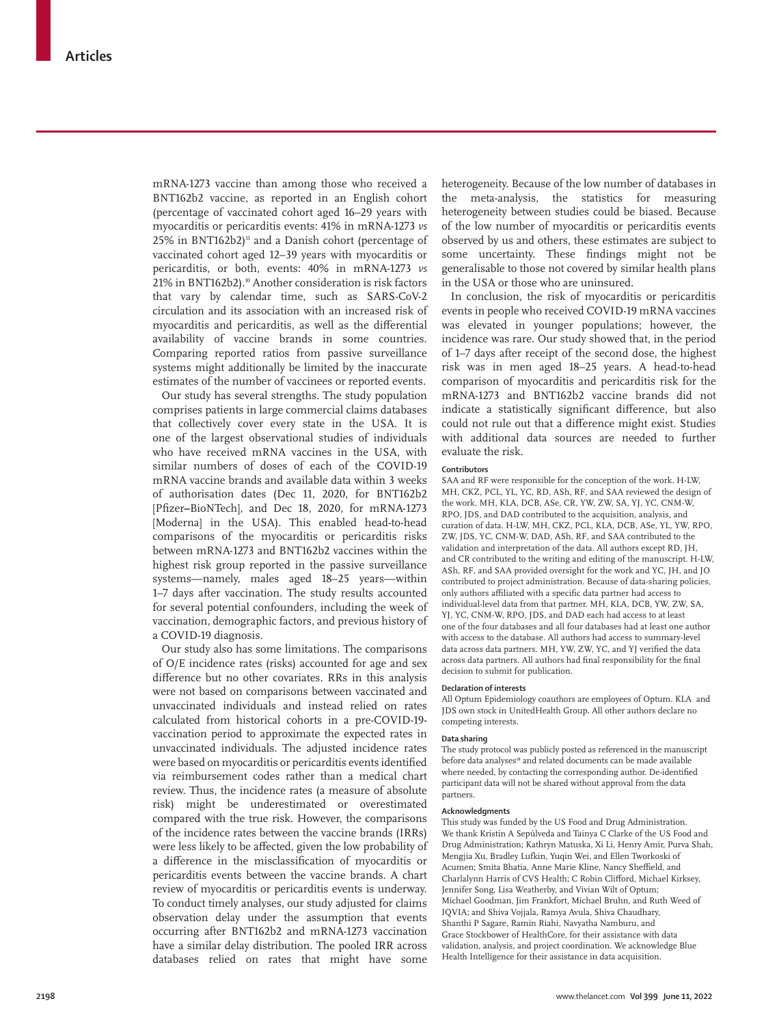mRNA-1273 vaccine than among those who received a BNT162b2 vaccine, as reported in an English cohort (percentage of vaccinated cohort aged 16–29 years with myocarditis or pericarditis events: 41% in mRNA-1273 *vs*  $25\%$  in BNT162b2)<sup>11</sup> and a Danish cohort (percentage of vaccinated cohort aged 12–39 years with myocarditis or pericarditis, or both, events: 40% in mRNA-1273 *vs* 21% in BNT162b2).10 Another consideration is risk factors that vary by calendar time, such as SARS-CoV-2 circulation and its association with an increased risk of myocarditis and pericarditis, as well as the differential availability of vaccine brands in some countries. Comparing reported ratios from passive surveillance systems might additionally be limited by the inaccurate estimates of the number of vaccinees or reported events.

Our study has several strengths. The study population comprises patients in large commercial claims databases that collectively cover every state in the USA. It is one of the largest observational studies of individuals who have received mRNA vaccines in the USA, with similar numbers of doses of each of the COVID-19 mRNA vaccine brands and available data within 3 weeks of authorisation dates (Dec 11, 2020, for BNT162b2 [Pfizer**–**BioNTech], and Dec 18, 2020, for mRNA-1273 [Moderna] in the USA). This enabled head-to-head comparisons of the myocarditis or pericarditis risks between mRNA-1273 and BNT162b2 vaccines within the highest risk group reported in the passive surveillance systems—namely, males aged 18–25 years—within 1–7 days after vaccination. The study results accounted for several potential confounders, including the week of vaccination, demographic factors, and previous history of a COVID-19 diagnosis.

Our study also has some limitations. The comparisons of O/E incidence rates (risks) accounted for age and sex difference but no other covariates. RRs in this analysis were not based on comparisons between vaccinated and unvaccinated individuals and instead relied on rates calculated from historical cohorts in a pre-COVID-19 vaccination period to approximate the expected rates in unvaccinated individuals. The adjusted incidence rates were based on myocarditis or pericarditis events identified via reimbursement codes rather than a medical chart review. Thus, the incidence rates (a measure of absolute risk) might be underestimated or overestimated compared with the true risk. However, the comparisons of the incidence rates between the vaccine brands (IRRs) were less likely to be affected, given the low probability of a difference in the misclassification of myocarditis or pericarditis events between the vaccine brands. A chart review of myocarditis or pericarditis events is underway. To conduct timely analyses, our study adjusted for claims observation delay under the assumption that events occurring after BNT162b2 and mRNA-1273 vaccination have a similar delay distribution. The pooled IRR across databases relied on rates that might have some

heterogeneity. Because of the low number of databases in the meta-analysis, the statistics for measuring heterogeneity between studies could be biased. Because of the low number of myocarditis or pericarditis events observed by us and others, these estimates are subject to some uncertainty. These findings might not be generalisable to those not covered by similar health plans in the USA or those who are uninsured.

In conclusion, the risk of myocarditis or pericarditis events in people who received COVID-19 mRNA vaccines was elevated in younger populations; however, the incidence was rare. Our study showed that, in the period of 1–7 days after receipt of the second dose, the highest risk was in men aged 18–25 years. A head-to-head comparison of myocarditis and pericarditis risk for the mRNA-1273 and BNT162b2 vaccine brands did not indicate a statistically significant difference, but also could not rule out that a difference might exist. Studies with additional data sources are needed to further evaluate the risk.

#### **Contributors**

SAA and RF were responsible for the conception of the work. H-LW, MH, CKZ, PCL, YL, YC, RD, ASh, RF, and SAA reviewed the design of the work. MH, KLA, DCB, ASe, CR, YW, ZW, SA, YJ, YC, CNM-W, RPO, JDS, and DAD contributed to the acquisition, analysis, and curation of data. H-LW, MH, CKZ, PCL, KLA, DCB, ASe, YL, YW, RPO, ZW, JDS, YC, CNM-W, DAD, ASh, RF, and SAA contributed to the validation and interpretation of the data. All authors except RD, JH, and CR contributed to the writing and editing of the manuscript. H-LW, ASh, RF, and SAA provided oversight for the work and YC, JH, and JO contributed to project administration. Because of data-sharing policies, only authors affiliated with a specific data partner had access to individual-level data from that partner. MH, KLA, DCB, YW, ZW, SA, YJ, YC, CNM-W, RPO, JDS, and DAD each had access to at least one of the four databases and all four databases had at least one author with access to the database. All authors had access to summary-level data across data partners. MH, YW, ZW, YC, and YJ verified the data across data partners. All authors had final responsibility for the final decision to submit for publication.

#### **Declaration of interests**

All Optum Epidemiology coauthors are employees of Optum. KLA and JDS own stock in UnitedHealth Group**.** All other authors declare no competing interests.

#### **Data sharing**

The study protocol was publicly posted as referenced in the manuscript before data analyses<sup>18</sup> and related documents can be made available where needed, by contacting the corresponding author. De-identified participant data will not be shared without approval from the data partners.

#### **Acknowledgments**

This study was funded by the US Food and Drug Administration. We thank Kristin A Sepúlveda and Tainya C Clarke of the US Food and Drug Administration; Kathryn Matuska, Xi Li, Henry Amir, Purva Shah, Mengjia Xu, Bradley Lufkin, Yuqin Wei, and Ellen Tworkoski of Acumen; Smita Bhatia, Anne Marie Kline, Nancy Sheffield, and Charlalynn Harris of CVS Health; C Robin Clifford, Michael Kirksey, Jennifer Song, Lisa Weatherby, and Vivian Wilt of Optum; Michael Goodman, Jim Frankfort, Michael Bruhn, and Ruth Weed of IQVIA; and Shiva Vojjala, Ramya Avula, Shiva Chaudhary, Shanthi P Sagare, Ramin Riahi, Navyatha Namburu, and Grace Stockbower of HealthCore, for their assistance with data validation, analysis, and project coordination. We acknowledge Blue Health Intelligence for their assistance in data acquisition.